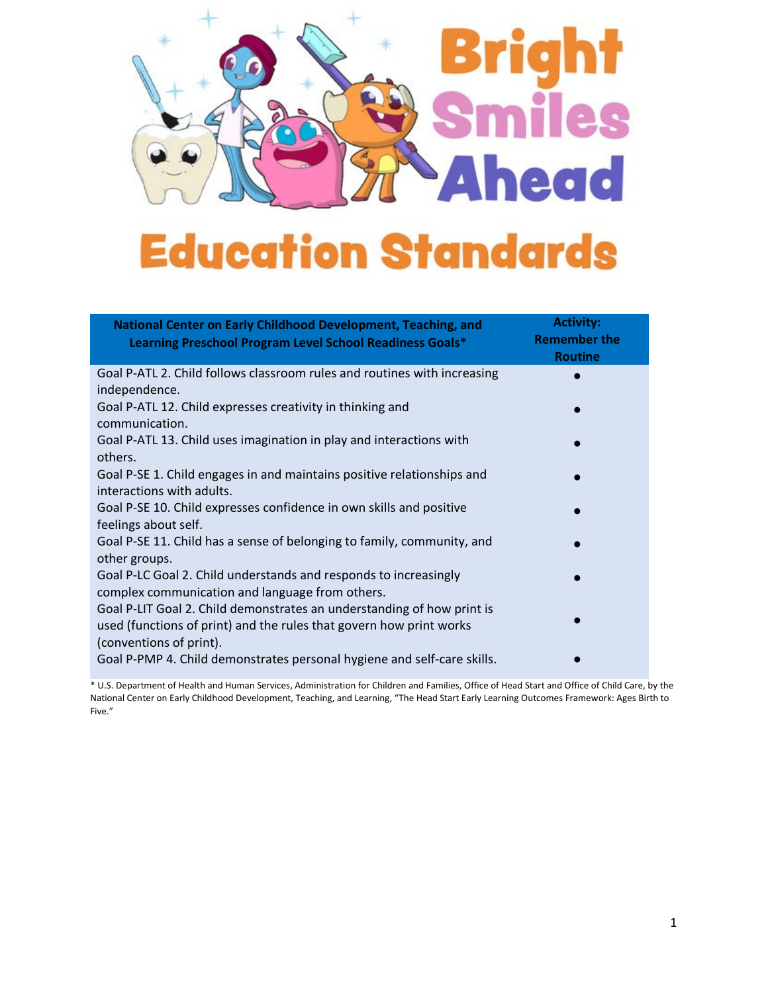

| National Center on Early Childhood Development, Teaching, and<br>Learning Preschool Program Level School Readiness Goals*                                                | <b>Activity:</b><br><b>Remember the</b><br><b>Routine</b> |
|--------------------------------------------------------------------------------------------------------------------------------------------------------------------------|-----------------------------------------------------------|
| Goal P-ATL 2. Child follows classroom rules and routines with increasing<br>independence.                                                                                |                                                           |
| Goal P-ATL 12. Child expresses creativity in thinking and<br>communication.                                                                                              |                                                           |
| Goal P-ATL 13. Child uses imagination in play and interactions with<br>others.                                                                                           |                                                           |
| Goal P-SE 1. Child engages in and maintains positive relationships and<br>interactions with adults.                                                                      |                                                           |
| Goal P-SE 10. Child expresses confidence in own skills and positive<br>feelings about self.                                                                              |                                                           |
| Goal P-SE 11. Child has a sense of belonging to family, community, and<br>other groups.                                                                                  |                                                           |
| Goal P-LC Goal 2. Child understands and responds to increasingly<br>complex communication and language from others.                                                      |                                                           |
| Goal P-LIT Goal 2. Child demonstrates an understanding of how print is<br>used (functions of print) and the rules that govern how print works<br>(conventions of print). |                                                           |
| Goal P-PMP 4. Child demonstrates personal hygiene and self-care skills.                                                                                                  |                                                           |

\* U.S. Department of Health and Human Services, Administration for Children and Families, Office of Head Start and Office of Child Care, by the National Center on Early Childhood Development, Teaching, and Learning, "The Head Start Early Learning Outcomes Framework: Ages Birth to Five."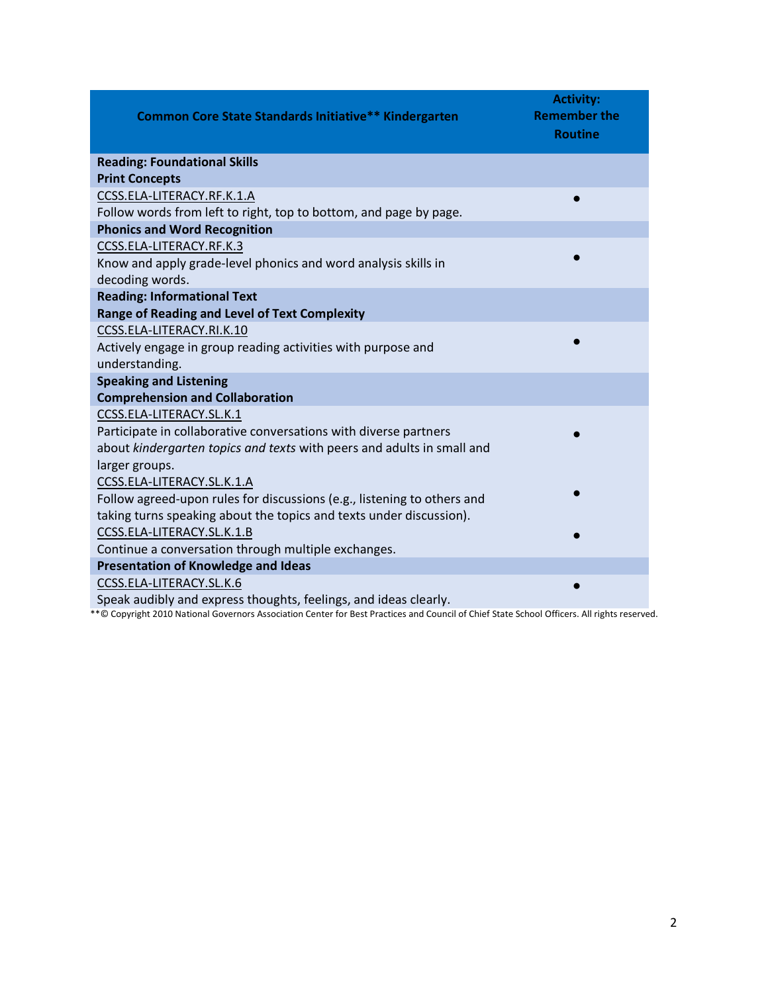| <b>Common Core State Standards Initiative** Kindergarten</b>            | <b>Activity:</b><br><b>Remember the</b><br><b>Routine</b> |
|-------------------------------------------------------------------------|-----------------------------------------------------------|
| <b>Reading: Foundational Skills</b>                                     |                                                           |
| <b>Print Concepts</b>                                                   |                                                           |
| CCSS.ELA-LITERACY.RF.K.1.A                                              |                                                           |
| Follow words from left to right, top to bottom, and page by page.       |                                                           |
| <b>Phonics and Word Recognition</b>                                     |                                                           |
| CCSS.ELA-LITERACY.RF.K.3                                                |                                                           |
| Know and apply grade-level phonics and word analysis skills in          |                                                           |
| decoding words.                                                         |                                                           |
| <b>Reading: Informational Text</b>                                      |                                                           |
| <b>Range of Reading and Level of Text Complexity</b>                    |                                                           |
| CCSS.ELA-LITERACY.RI.K.10                                               |                                                           |
| Actively engage in group reading activities with purpose and            |                                                           |
| understanding.                                                          |                                                           |
| <b>Speaking and Listening</b>                                           |                                                           |
| <b>Comprehension and Collaboration</b>                                  |                                                           |
| CCSS.ELA-LITERACY.SL.K.1                                                |                                                           |
| Participate in collaborative conversations with diverse partners        |                                                           |
| about kindergarten topics and texts with peers and adults in small and  |                                                           |
| larger groups.                                                          |                                                           |
| CCSS.ELA-LITERACY.SL.K.1.A                                              |                                                           |
| Follow agreed-upon rules for discussions (e.g., listening to others and |                                                           |
| taking turns speaking about the topics and texts under discussion).     |                                                           |
| CCSS.ELA-LITERACY.SL.K.1.B                                              |                                                           |
| Continue a conversation through multiple exchanges.                     |                                                           |
| <b>Presentation of Knowledge and Ideas</b>                              |                                                           |
| CCSS.ELA-LITERACY.SL.K.6                                                |                                                           |
| Speak audibly and express thoughts, feelings, and ideas clearly.        |                                                           |

\*\*© Copyright 2010 National Governors Association Center for Best Practices and Council of Chief State School Officers. All rights reserved.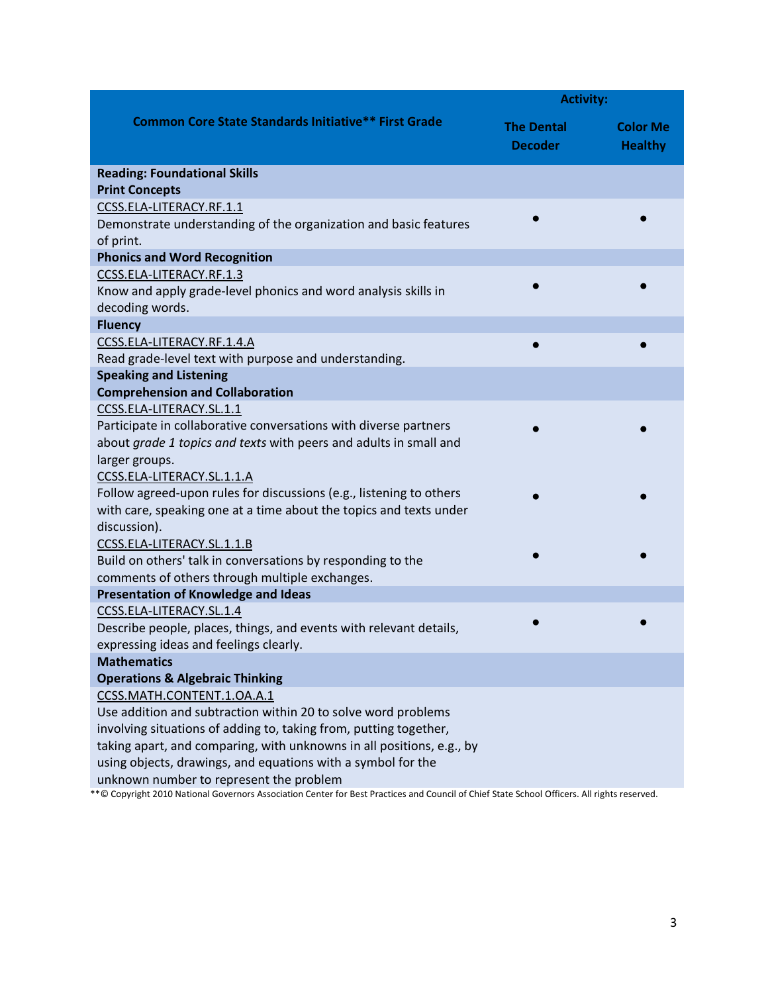|                                                                                                                                             | <b>Activity:</b>                    |                                   |
|---------------------------------------------------------------------------------------------------------------------------------------------|-------------------------------------|-----------------------------------|
| <b>Common Core State Standards Initiative** First Grade</b>                                                                                 | <b>The Dental</b><br><b>Decoder</b> | <b>Color Me</b><br><b>Healthy</b> |
| <b>Reading: Foundational Skills</b>                                                                                                         |                                     |                                   |
| <b>Print Concepts</b>                                                                                                                       |                                     |                                   |
| CCSS.ELA-LITERACY.RF.1.1                                                                                                                    |                                     |                                   |
| Demonstrate understanding of the organization and basic features                                                                            |                                     |                                   |
| of print.                                                                                                                                   |                                     |                                   |
| <b>Phonics and Word Recognition</b>                                                                                                         |                                     |                                   |
| CCSS.ELA-LITERACY.RF.1.3                                                                                                                    |                                     |                                   |
| Know and apply grade-level phonics and word analysis skills in                                                                              |                                     |                                   |
| decoding words.                                                                                                                             |                                     |                                   |
| <b>Fluency</b>                                                                                                                              |                                     |                                   |
| CCSS.ELA-LITERACY.RF.1.4.A                                                                                                                  |                                     |                                   |
| Read grade-level text with purpose and understanding.                                                                                       |                                     |                                   |
| <b>Speaking and Listening</b>                                                                                                               |                                     |                                   |
| <b>Comprehension and Collaboration</b>                                                                                                      |                                     |                                   |
| CCSS.ELA-LITERACY.SL.1.1                                                                                                                    |                                     |                                   |
| Participate in collaborative conversations with diverse partners                                                                            |                                     |                                   |
| about grade 1 topics and texts with peers and adults in small and                                                                           |                                     |                                   |
| larger groups.                                                                                                                              |                                     |                                   |
| CCSS.ELA-LITERACY.SL.1.1.A                                                                                                                  |                                     |                                   |
| Follow agreed-upon rules for discussions (e.g., listening to others                                                                         |                                     |                                   |
| with care, speaking one at a time about the topics and texts under                                                                          |                                     |                                   |
| discussion).                                                                                                                                |                                     |                                   |
| CCSS.ELA-LITERACY.SL.1.1.B                                                                                                                  |                                     |                                   |
| Build on others' talk in conversations by responding to the                                                                                 |                                     |                                   |
| comments of others through multiple exchanges.                                                                                              |                                     |                                   |
| <b>Presentation of Knowledge and Ideas</b>                                                                                                  |                                     |                                   |
| CCSS.ELA-LITERACY.SL.1.4                                                                                                                    |                                     |                                   |
| Describe people, places, things, and events with relevant details,                                                                          |                                     |                                   |
| expressing ideas and feelings clearly.                                                                                                      |                                     |                                   |
| <b>Mathematics</b>                                                                                                                          |                                     |                                   |
| <b>Operations &amp; Algebraic Thinking</b><br>CCSS.MATH.CONTENT.1.OA.A.1                                                                    |                                     |                                   |
| Use addition and subtraction within 20 to solve word problems                                                                               |                                     |                                   |
| involving situations of adding to, taking from, putting together,                                                                           |                                     |                                   |
| taking apart, and comparing, with unknowns in all positions, e.g., by                                                                       |                                     |                                   |
| using objects, drawings, and equations with a symbol for the                                                                                |                                     |                                   |
| unknown number to represent the problem                                                                                                     |                                     |                                   |
| **© Convright 2010 National Governors Association Conter for Rest Practices and Council of Chief State School Officers. All rights reserved |                                     |                                   |

\*\*© Copyright 2010 National Governors Association Center for Best Practices and Council of Chief State School Officers. All rights reserved.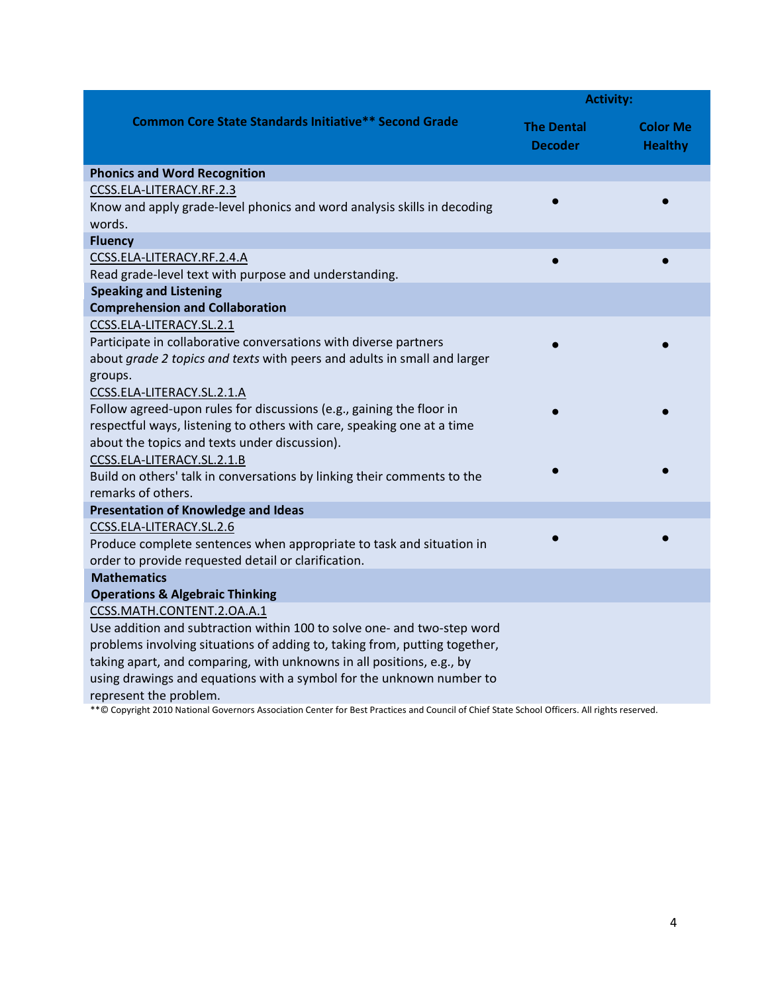|                                                                                                       | <b>Activity:</b>                    |                                   |
|-------------------------------------------------------------------------------------------------------|-------------------------------------|-----------------------------------|
| <b>Common Core State Standards Initiative** Second Grade</b>                                          | <b>The Dental</b><br><b>Decoder</b> | <b>Color Me</b><br><b>Healthy</b> |
| <b>Phonics and Word Recognition</b>                                                                   |                                     |                                   |
| CCSS.ELA-LITERACY.RF.2.3                                                                              |                                     |                                   |
| Know and apply grade-level phonics and word analysis skills in decoding<br>words.                     |                                     |                                   |
| <b>Fluency</b>                                                                                        |                                     |                                   |
| CCSS.ELA-LITERACY.RF.2.4.A                                                                            | $\bullet$                           |                                   |
| Read grade-level text with purpose and understanding.                                                 |                                     |                                   |
| <b>Speaking and Listening</b>                                                                         |                                     |                                   |
| <b>Comprehension and Collaboration</b>                                                                |                                     |                                   |
| CCSS.ELA-LITERACY.SL.2.1                                                                              |                                     |                                   |
| Participate in collaborative conversations with diverse partners                                      |                                     |                                   |
| about grade 2 topics and texts with peers and adults in small and larger                              |                                     |                                   |
| groups.                                                                                               |                                     |                                   |
| CCSS.ELA-LITERACY.SL.2.1.A                                                                            |                                     |                                   |
| Follow agreed-upon rules for discussions (e.g., gaining the floor in                                  |                                     |                                   |
| respectful ways, listening to others with care, speaking one at a time                                |                                     |                                   |
| about the topics and texts under discussion).                                                         |                                     |                                   |
| CCSS.ELA-LITERACY.SL.2.1.B                                                                            |                                     |                                   |
| Build on others' talk in conversations by linking their comments to the                               |                                     |                                   |
| remarks of others.                                                                                    |                                     |                                   |
| <b>Presentation of Knowledge and Ideas</b>                                                            |                                     |                                   |
| CCSS.ELA-LITERACY.SL.2.6                                                                              |                                     |                                   |
| Produce complete sentences when appropriate to task and situation in                                  |                                     |                                   |
| order to provide requested detail or clarification.                                                   |                                     |                                   |
| <b>Mathematics</b>                                                                                    |                                     |                                   |
| <b>Operations &amp; Algebraic Thinking</b>                                                            |                                     |                                   |
| CCSS.MATH.CONTENT.2.OA.A.1<br>Use addition and subtraction within 100 to solve one- and two-step word |                                     |                                   |
| problems involving situations of adding to, taking from, putting together,                            |                                     |                                   |
| taking apart, and comparing, with unknowns in all positions, e.g., by                                 |                                     |                                   |
| using drawings and equations with a symbol for the unknown number to                                  |                                     |                                   |
| represent the problem.                                                                                |                                     |                                   |

\*\*© Copyright 2010 National Governors Association Center for Best Practices and Council of Chief State School Officers. All rights reserved.